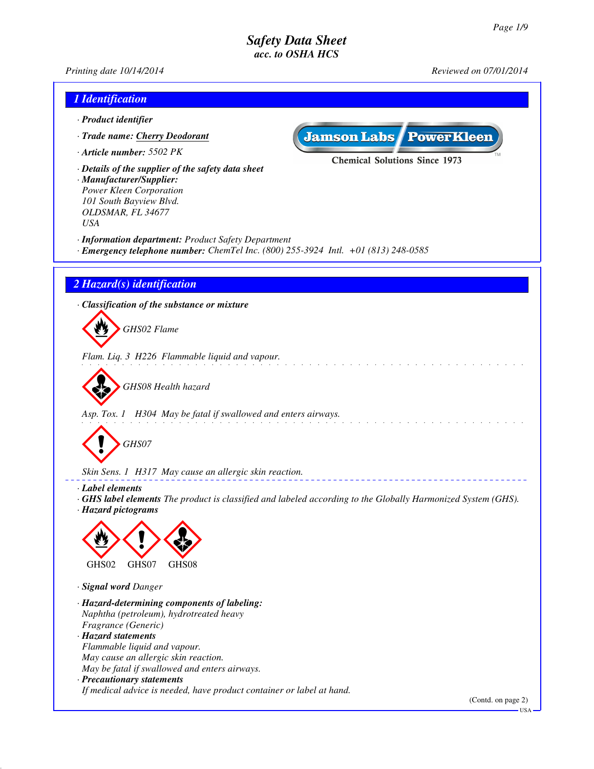*Printing date 10/14/2014 Reviewed on 07/01/2014*

| 1 Identification                                                                                                                                                        |                                                                                                                     |
|-------------------------------------------------------------------------------------------------------------------------------------------------------------------------|---------------------------------------------------------------------------------------------------------------------|
| · Product identifier                                                                                                                                                    |                                                                                                                     |
| · Trade name: Cherry Deodorant                                                                                                                                          | <b>Jamson Labs PowerKleen</b>                                                                                       |
| · Article number: 5502 PK                                                                                                                                               |                                                                                                                     |
| · Details of the supplier of the safety data sheet<br>· Manufacturer/Supplier:<br>Power Kleen Corporation<br>101 South Bayview Blvd.<br>OLDSMAR, FL 34677<br><b>USA</b> | <b>Chemical Solutions Since 1973</b>                                                                                |
| · Information department: Product Safety Department<br>$\cdot$ Emergency telephone number: ChemTel Inc. (800) 255-3924 Intl. +01 (813) 248-0585                         |                                                                                                                     |
| 2 Hazard(s) identification                                                                                                                                              |                                                                                                                     |
| · Classification of the substance or mixture                                                                                                                            |                                                                                                                     |
| GHS02 Flame                                                                                                                                                             |                                                                                                                     |
| Flam. Liq. 3 H226 Flammable liquid and vapour.                                                                                                                          |                                                                                                                     |
| GHS08 Health hazard                                                                                                                                                     |                                                                                                                     |
| Asp. Tox. 1 H304 May be fatal if swallowed and enters airways.                                                                                                          |                                                                                                                     |
| GHS07                                                                                                                                                                   |                                                                                                                     |
| Skin Sens. 1 H317 May cause an allergic skin reaction.                                                                                                                  |                                                                                                                     |
| · Label elements<br>· Hazard pictograms                                                                                                                                 | $\cdot$ GHS label elements The product is classified and labeled according to the Globally Harmonized System (GHS). |
|                                                                                                                                                                         |                                                                                                                     |
| GHS02<br>GHS07<br>GHS08                                                                                                                                                 |                                                                                                                     |
| · Signal word Danger                                                                                                                                                    |                                                                                                                     |
| · Hazard-determining components of labeling:<br>Naphtha (petroleum), hydrotreated heavy                                                                                 |                                                                                                                     |
| Fragrance (Generic)<br>· Hazard statements                                                                                                                              |                                                                                                                     |
| Flammable liquid and vapour.                                                                                                                                            |                                                                                                                     |
| May cause an allergic skin reaction.<br>May be fatal if swallowed and enters airways.                                                                                   |                                                                                                                     |
| · Precautionary statements                                                                                                                                              |                                                                                                                     |
| If medical advice is needed, have product container or label at hand.                                                                                                   | (Contd. on page 2)                                                                                                  |
|                                                                                                                                                                         | <b>USA</b>                                                                                                          |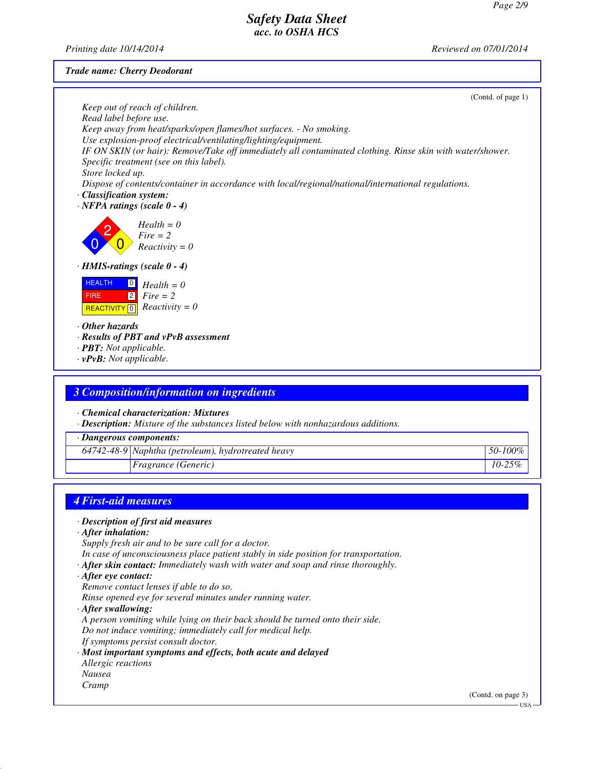*Printing date 10/14/2014 Reviewed on 07/01/2014*

*Trade name: Cherry Deodorant*

| Keep out of reach of children.<br>Read label before use.<br>Keep away from heat/sparks/open flames/hot surfaces. - No smoking.<br>Use explosion-proof electrical/ventilating/lighting/equipment.<br>IF ON SKIN (or hair): Remove/Take off immediately all contaminated clothing. Rinse skin with water/shower.<br>Specific treatment (see on this label).<br>Store locked up.<br>Dispose of contents/container in accordance with local/regional/national/international regulations.<br>· Classification system:<br>$\cdot$ NFPA ratings (scale 0 - 4) | (Contd. of page 1) |
|--------------------------------------------------------------------------------------------------------------------------------------------------------------------------------------------------------------------------------------------------------------------------------------------------------------------------------------------------------------------------------------------------------------------------------------------------------------------------------------------------------------------------------------------------------|--------------------|
| $Health = 0$<br>$Fire = 2$<br>$Reactivity = 0$                                                                                                                                                                                                                                                                                                                                                                                                                                                                                                         |                    |
| · HMIS-ratings (scale 0 - 4)                                                                                                                                                                                                                                                                                                                                                                                                                                                                                                                           |                    |
| <b>HEALTH</b><br>$Health = 0$<br>$\overline{2}$<br>$Fire = 2$<br><b>FIRE</b><br>$Reactivity = 0$<br>REACTIVITY <sup>0</sup><br>$\cdot$ Other hazards<br>· Results of PBT and vPvB assessment<br>· <b>PBT</b> : Not applicable.<br>$\cdot v$ PvB: Not applicable.                                                                                                                                                                                                                                                                                       |                    |
|                                                                                                                                                                                                                                                                                                                                                                                                                                                                                                                                                        |                    |
| 3 Composition/information on ingredients                                                                                                                                                                                                                                                                                                                                                                                                                                                                                                               |                    |
|                                                                                                                                                                                                                                                                                                                                                                                                                                                                                                                                                        |                    |
| · Chemical characterization: Mixtures<br>· Description: Mixture of the substances listed below with nonhazardous additions.                                                                                                                                                                                                                                                                                                                                                                                                                            |                    |
| · Dangerous components:                                                                                                                                                                                                                                                                                                                                                                                                                                                                                                                                |                    |
| 64742-48-9 Naphtha (petroleum), hydrotreated heavy                                                                                                                                                                                                                                                                                                                                                                                                                                                                                                     | 50-100%            |
| Fragrance (Generic)                                                                                                                                                                                                                                                                                                                                                                                                                                                                                                                                    | $10 - 25%$         |
|                                                                                                                                                                                                                                                                                                                                                                                                                                                                                                                                                        |                    |
|                                                                                                                                                                                                                                                                                                                                                                                                                                                                                                                                                        |                    |
| <b>4 First-aid measures</b>                                                                                                                                                                                                                                                                                                                                                                                                                                                                                                                            |                    |
| · Description of first aid measures<br>$\cdot$ After inhalation:<br>Supply fresh air and to be sure call for a doctor.<br>In case of unconsciousness place patient stably in side position for transportation.<br>$\cdot$ After skin contact: Immediately wash with water and soap and rinse thoroughly.                                                                                                                                                                                                                                               |                    |

*· After eye contact:*

*Remove contact lenses if able to do so.*

*Rinse opened eye for several minutes under running water.*

*· After swallowing:*

*A person vomiting while lying on their back should be turned onto their side. Do not induce vomiting; immediately call for medical help.*

*If symptoms persist consult doctor.*

- *· Most important symptoms and effects, both acute and delayed*
- *Allergic reactions Nausea*

*Cramp*

(Contd. on page 3)

USA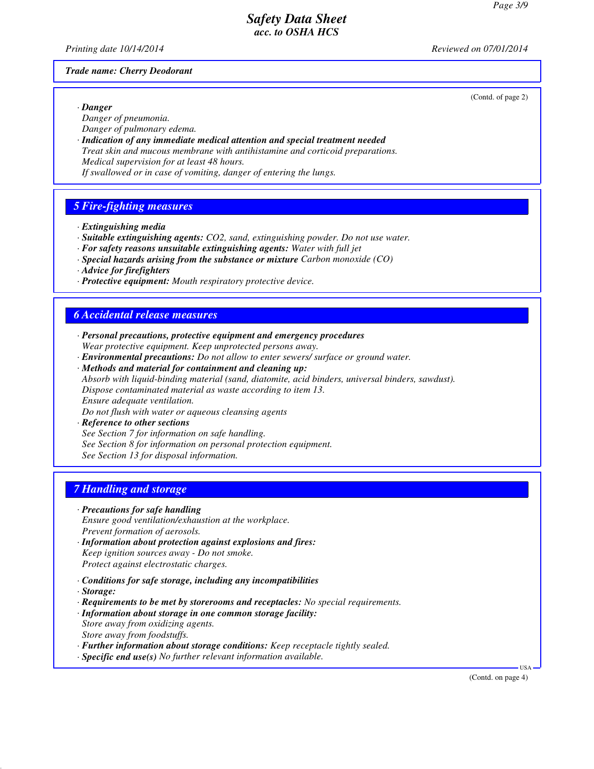*Printing date 10/14/2014 Reviewed on 07/01/2014*

#### *Trade name: Cherry Deodorant*

(Contd. of page 2)

*· Danger Danger of pneumonia.*

- *Danger of pulmonary edema.*
- *· Indication of any immediate medical attention and special treatment needed Treat skin and mucous membrane with antihistamine and corticoid preparations. Medical supervision for at least 48 hours.*

*If swallowed or in case of vomiting, danger of entering the lungs.*

## *5 Fire-fighting measures*

- *· Extinguishing media*
- *· Suitable extinguishing agents: CO2, sand, extinguishing powder. Do not use water.*
- *· For safety reasons unsuitable extinguishing agents: Water with full jet*
- *· Special hazards arising from the substance or mixture Carbon monoxide (CO)*
- *· Advice for firefighters*
- *· Protective equipment: Mouth respiratory protective device.*

## *6 Accidental release measures*

- *· Personal precautions, protective equipment and emergency procedures Wear protective equipment. Keep unprotected persons away.*
- *· Environmental precautions: Do not allow to enter sewers/ surface or ground water.*
- *· Methods and material for containment and cleaning up: Absorb with liquid-binding material (sand, diatomite, acid binders, universal binders, sawdust).*

*Dispose contaminated material as waste according to item 13.*

*Ensure adequate ventilation.*

*Do not flush with water or aqueous cleansing agents*

*· Reference to other sections*

*See Section 7 for information on safe handling.*

*See Section 8 for information on personal protection equipment.*

*See Section 13 for disposal information.*

## *7 Handling and storage*

#### *· Precautions for safe handling*

*Ensure good ventilation/exhaustion at the workplace. Prevent formation of aerosols.*

- *· Information about protection against explosions and fires: Keep ignition sources away - Do not smoke. Protect against electrostatic charges.*
- *· Conditions for safe storage, including any incompatibilities*
- *· Storage:*
- *· Requirements to be met by storerooms and receptacles: No special requirements.*
- *· Information about storage in one common storage facility: Store away from oxidizing agents. Store away from foodstuffs.*
- *· Further information about storage conditions: Keep receptacle tightly sealed.*
- *· Specific end use(s) No further relevant information available.*

(Contd. on page 4)

USA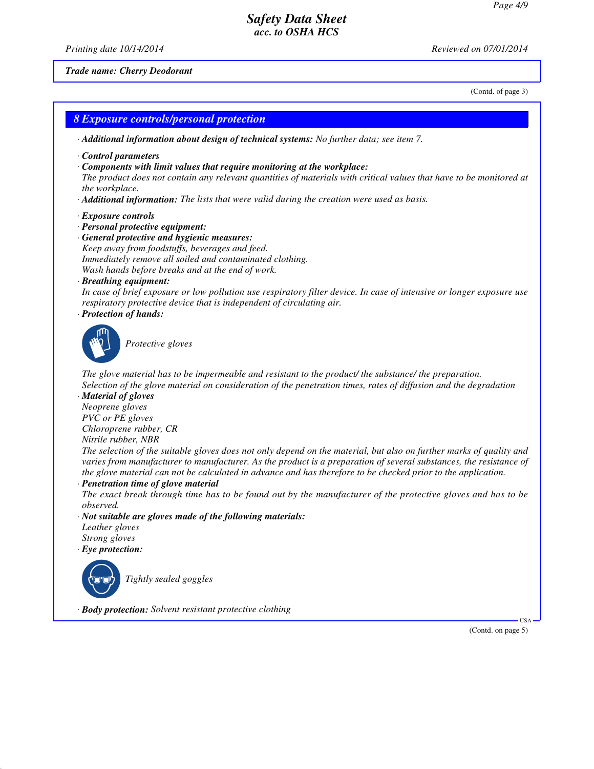*Printing date 10/14/2014 Reviewed on 07/01/2014*

#### *Trade name: Cherry Deodorant*

(Contd. of page 3)

#### *8 Exposure controls/personal protection*

*· Additional information about design of technical systems: No further data; see item 7.*

- *· Control parameters*
- *· Components with limit values that require monitoring at the workplace:*

*The product does not contain any relevant quantities of materials with critical values that have to be monitored at the workplace.*

- *· Additional information: The lists that were valid during the creation were used as basis.*
- *· Exposure controls*
- *· Personal protective equipment:*
- *· General protective and hygienic measures: Keep away from foodstuffs, beverages and feed. Immediately remove all soiled and contaminated clothing. Wash hands before breaks and at the end of work.*
- *· Breathing equipment:*

*In case of brief exposure or low pollution use respiratory filter device. In case of intensive or longer exposure use respiratory protective device that is independent of circulating air.*

*· Protection of hands:*



`S*Protective gloves*

*The glove material has to be impermeable and resistant to the product/ the substance/ the preparation. Selection of the glove material on consideration of the penetration times, rates of diffusion and the degradation*

*· Material of gloves*

*Neoprene gloves PVC or PE gloves*

*Chloroprene rubber, CR*

*Nitrile rubber, NBR*

*The selection of the suitable gloves does not only depend on the material, but also on further marks of quality and varies from manufacturer to manufacturer. As the product is a preparation of several substances, the resistance of the glove material can not be calculated in advance and has therefore to be checked prior to the application.*

*· Penetration time of glove material*

*The exact break through time has to be found out by the manufacturer of the protective gloves and has to be observed.*

- *· Not suitable are gloves made of the following materials:*
- *Leather gloves Strong gloves*
- *· Eye protection:*
- 

`R*Tightly sealed goggles*

*· Body protection: Solvent resistant protective clothing*

(Contd. on page 5)

USA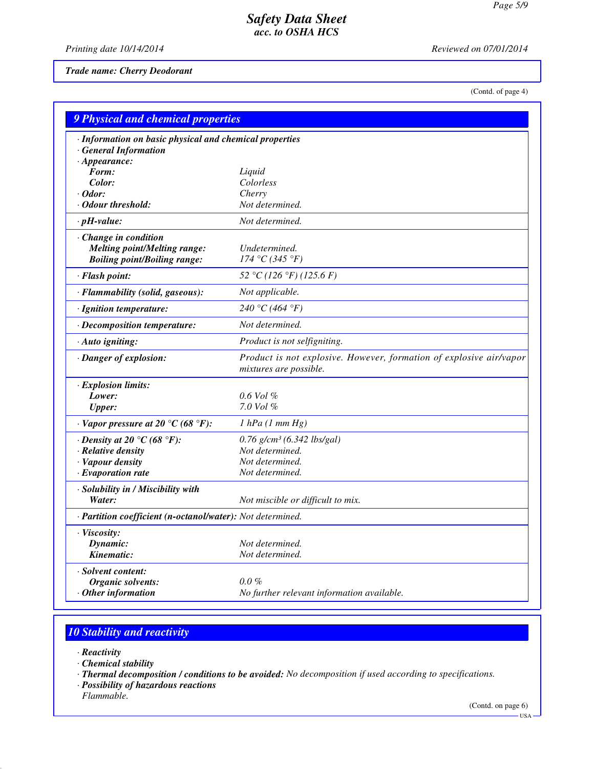*Printing date 10/14/2014 Reviewed on 07/01/2014*

*Trade name: Cherry Deodorant*

(Contd. of page 4)

| 9 Physical and chemical properties                         |                                                                                               |  |
|------------------------------------------------------------|-----------------------------------------------------------------------------------------------|--|
| · Information on basic physical and chemical properties    |                                                                                               |  |
| <b>General Information</b>                                 |                                                                                               |  |
| $\cdot$ Appearance:                                        |                                                                                               |  |
| Form:                                                      | Liquid                                                                                        |  |
| Color:                                                     | Colorless                                                                                     |  |
| $\cdot$ Odor:<br>Odour threshold:                          | Cherry<br>Not determined.                                                                     |  |
|                                                            |                                                                                               |  |
| $\cdot$ pH-value:                                          | Not determined.                                                                               |  |
| Change in condition                                        |                                                                                               |  |
| <b>Melting point/Melting range:</b>                        | Undetermined.                                                                                 |  |
| <b>Boiling point/Boiling range:</b>                        | 174 °C (345 °F)                                                                               |  |
| · Flash point:                                             | 52 °C (126 °F) (125.6 F)                                                                      |  |
| · Flammability (solid, gaseous):                           | Not applicable.                                                                               |  |
| · Ignition temperature:                                    | 240 °C (464 °F)                                                                               |  |
| · Decomposition temperature:                               | Not determined.                                                                               |  |
| · Auto igniting:                                           | Product is not selfigniting.                                                                  |  |
| · Danger of explosion:                                     | Product is not explosive. However, formation of explosive air/vapor<br>mixtures are possible. |  |
| · Explosion limits:                                        |                                                                                               |  |
| Lower:                                                     | $0.6$ Vol $%$                                                                                 |  |
| <b>Upper:</b>                                              | $7.0$ Vol $%$                                                                                 |  |
| $\cdot$ Vapor pressure at 20 °C (68 °F):                   | $1$ hPa $(1$ mm $Hg)$                                                                         |  |
| $\cdot$ Density at 20 °C (68 °F):                          | $0.76$ g/cm <sup>3</sup> (6.342 lbs/gal)                                                      |  |
| · Relative density                                         | Not determined.                                                                               |  |
| · Vapour density                                           | Not determined.                                                                               |  |
| $\cdot$ Evaporation rate                                   | Not determined.                                                                               |  |
| · Solubility in / Miscibility with                         |                                                                                               |  |
| Water:                                                     | Not miscible or difficult to mix.                                                             |  |
| · Partition coefficient (n-octanol/water): Not determined. |                                                                                               |  |
| · Viscosity:                                               |                                                                                               |  |
| Dynamic:                                                   | Not determined.                                                                               |  |
| Kinematic:                                                 | Not determined.                                                                               |  |
| · Solvent content:                                         |                                                                                               |  |
| Organic solvents:                                          | $0.0\%$                                                                                       |  |
| Other information                                          | No further relevant information available.                                                    |  |

# *10 Stability and reactivity*

- *· Reactivity*
- *· Chemical stability*
- *· Thermal decomposition / conditions to be avoided: No decomposition if used according to specifications.*
- *· Possibility of hazardous reactions*
- *Flammable.*

(Contd. on page 6)

 $-$  USA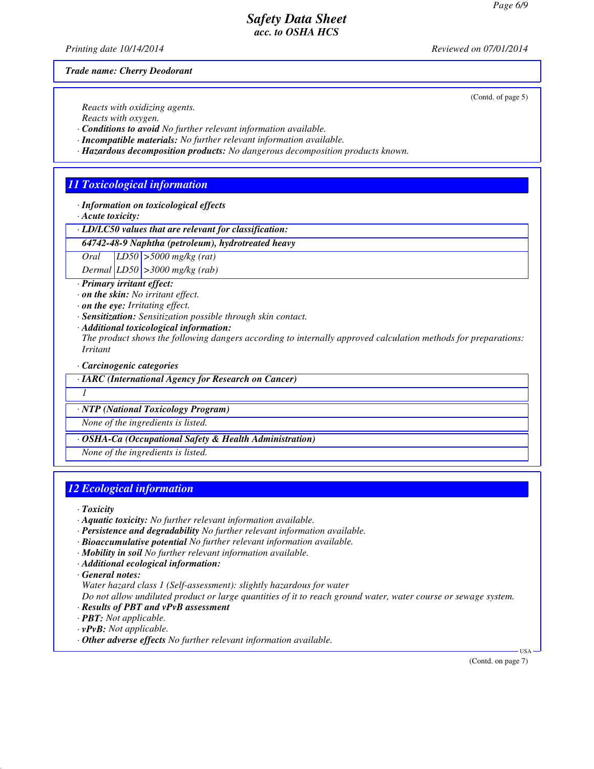*Printing date 10/14/2014 Reviewed on 07/01/2014*

(Contd. of page 5)

*Trade name: Cherry Deodorant*

*Reacts with oxidizing agents.*

*Reacts with oxygen.*

*· Conditions to avoid No further relevant information available.*

*· Incompatible materials: No further relevant information available.*

*· Hazardous decomposition products: No dangerous decomposition products known.*

## *11 Toxicological information*

*· Information on toxicological effects*

*· Acute toxicity:*

*· LD/LC50 values that are relevant for classification:*

*64742-48-9 Naphtha (petroleum), hydrotreated heavy*

*Oral LD50 >5000 mg/kg (rat)*

*Dermal LD50 >3000 mg/kg (rab)*

*· Primary irritant effect:*

*· on the skin: No irritant effect.*

- *· on the eye: Irritating effect.*
- *· Sensitization: Sensitization possible through skin contact.*
- *· Additional toxicological information:*

*The product shows the following dangers according to internally approved calculation methods for preparations: Irritant*

*· Carcinogenic categories*

*· IARC (International Agency for Research on Cancer)*

*1* 

*· NTP (National Toxicology Program)*

*None of the ingredients is listed.*

*· OSHA-Ca (Occupational Safety & Health Administration)*

*None of the ingredients is listed.*

#### *12 Ecological information*

*· Toxicity*

- *· Aquatic toxicity: No further relevant information available.*
- *· Persistence and degradability No further relevant information available.*
- *· Bioaccumulative potential No further relevant information available.*
- *· Mobility in soil No further relevant information available.*
- *· Additional ecological information:*
- *· General notes:*

*Water hazard class 1 (Self-assessment): slightly hazardous for water*

*Do not allow undiluted product or large quantities of it to reach ground water, water course or sewage system.*

- *· Results of PBT and vPvB assessment*
- *· PBT: Not applicable.*
- *· vPvB: Not applicable.*
- *· Other adverse effects No further relevant information available.*

(Contd. on page 7)

USA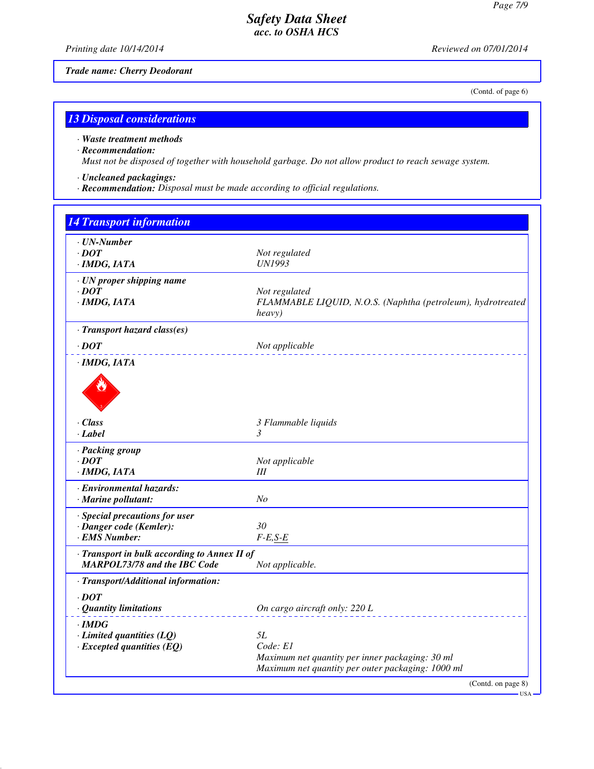*Printing date 10/14/2014 Reviewed on 07/01/2014*

*Trade name: Cherry Deodorant*

(Contd. of page 6)

# *13 Disposal considerations*

#### *· Waste treatment methods*

#### *· Recommendation:*

*Must not be disposed of together with household garbage. Do not allow product to reach sewage system.*

- *· Uncleaned packagings:*
- *· Recommendation: Disposal must be made according to official regulations.*

| <b>14 Transport information</b>                                                     |                                                                                                                        |
|-------------------------------------------------------------------------------------|------------------------------------------------------------------------------------------------------------------------|
| $\cdot$ UN-Number<br>$\cdot$ <i>DOT</i><br>$\cdot$ IMDG, IATA                       | Not regulated<br><b>UN1993</b>                                                                                         |
| · UN proper shipping name<br>$\cdot$ DOT<br>$·$ <i>IMDG, IATA</i>                   | Not regulated<br>FLAMMABLE LIQUID, N.O.S. (Naphtha (petroleum), hydrotreated<br>heavy)                                 |
| · Transport hazard class(es)                                                        |                                                                                                                        |
| $\cdot$ DOT                                                                         | Not applicable                                                                                                         |
| · IMDG, IATA                                                                        |                                                                                                                        |
| · Class<br>· Label                                                                  | 3 Flammable liquids<br>3                                                                                               |
| · Packing group<br>$\cdot$ DOT<br>$·$ <i>IMDG, IATA</i>                             | Not applicable<br>III                                                                                                  |
| · Environmental hazards:<br>$\cdot$ Marine pollutant:                               | N <sub>O</sub>                                                                                                         |
| · Special precautions for user<br>· Danger code (Kemler):<br>· EMS Number:          | 30<br>$F-E,S-E$                                                                                                        |
| · Transport in bulk according to Annex II of<br><b>MARPOL73/78 and the IBC Code</b> | Not applicable.                                                                                                        |
| · Transport/Additional information:                                                 |                                                                                                                        |
| $\cdot$ DOT<br>· Quantity limitations                                               | On cargo aircraft only: 220 L                                                                                          |
| $\cdot$ IMDG<br>$\cdot$ Limited quantities (LQ)<br>$\cdot$ Excepted quantities (EQ) | 5L<br>Code: E1<br>Maximum net quantity per inner packaging: 30 ml<br>Maximum net quantity per outer packaging: 1000 ml |
|                                                                                     | (Contd. on page 8)                                                                                                     |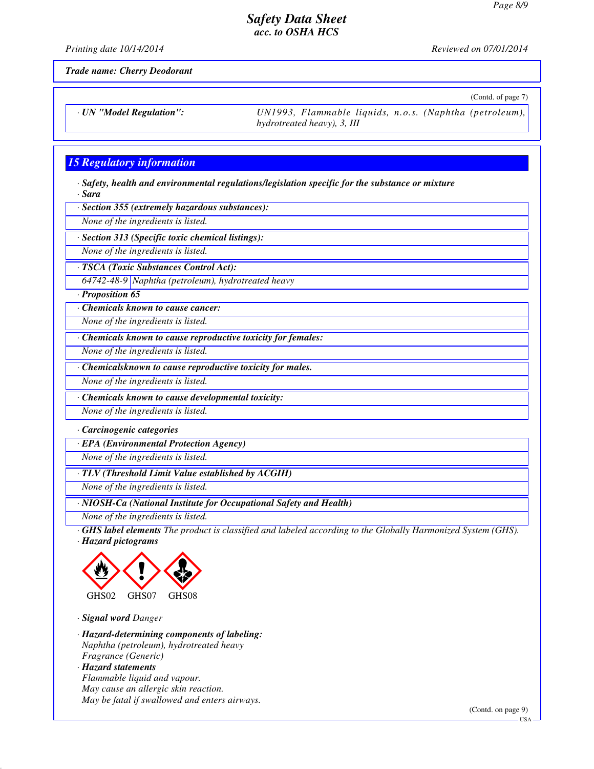*Printing date 10/14/2014 Reviewed on 07/01/2014*

*Trade name: Cherry Deodorant*

(Contd. of page 7)

*· UN "Model Regulation": UN1993, Flammable liquids, n.o.s. (Naphtha (petroleum),*

*hydrotreated heavy), 3, III*

### *15 Regulatory information*

*· Safety, health and environmental regulations/legislation specific for the substance or mixture · Sara*

*· Section 355 (extremely hazardous substances):*

*None of the ingredients is listed.*

*· Section 313 (Specific toxic chemical listings):*

*None of the ingredients is listed.*

*· TSCA (Toxic Substances Control Act):*

*64742-48-9 Naphtha (petroleum), hydrotreated heavy*

*· Proposition 65*

*· Chemicals known to cause cancer:*

*None of the ingredients is listed.*

*· Chemicals known to cause reproductive toxicity for females:*

*None of the ingredients is listed.*

*· Chemicalsknown to cause reproductive toxicity for males.*

*None of the ingredients is listed.*

*· Chemicals known to cause developmental toxicity:*

*None of the ingredients is listed.*

*· Carcinogenic categories*

*· EPA (Environmental Protection Agency)*

*None of the ingredients is listed.*

*· TLV (Threshold Limit Value established by ACGIH)*

*None of the ingredients is listed.*

*· NIOSH-Ca (National Institute for Occupational Safety and Health)*

*None of the ingredients is listed.*

*· GHS label elements The product is classified and labeled according to the Globally Harmonized System (GHS). · Hazard pictograms*



*· Signal word Danger*

*· Hazard-determining components of labeling: Naphtha (petroleum), hydrotreated heavy Fragrance (Generic) · Hazard statements Flammable liquid and vapour. May cause an allergic skin reaction. May be fatal if swallowed and enters airways.*

(Contd. on page 9)

USA